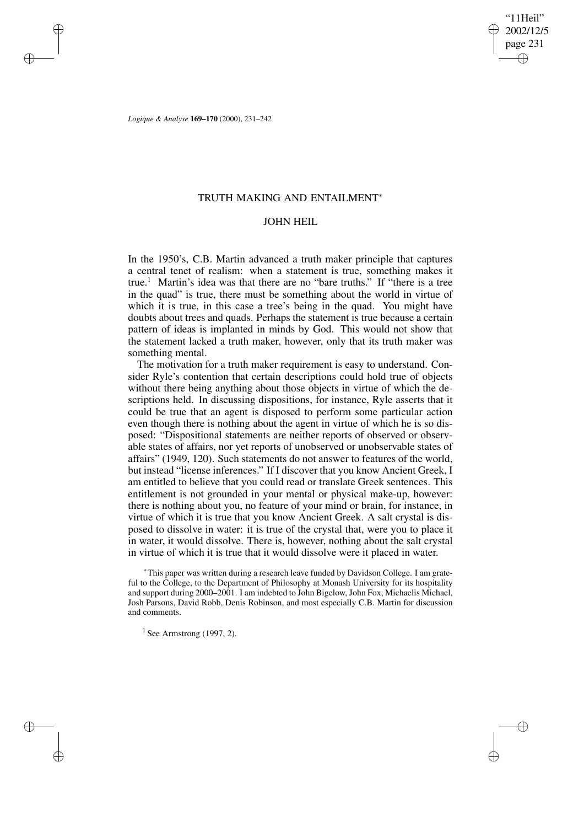✐

✐

*Logique & Analyse* **169–170** (2000), 231–242

✐

✐

✐

✐

## TRUTH MAKING AND ENTAILMENT<sup>∗</sup>

# JOHN HEIL

In the 1950's, C.B. Martin advanced a truth maker principle that captures a central tenet of realism: when a statement is true, something makes it true.<sup>1</sup> Martin's idea was that there are no "bare truths." If "there is a tree in the quad" is true, there must be something about the world in virtue of which it is true, in this case a tree's being in the quad. You might have doubts about trees and quads. Perhaps the statement is true because a certain pattern of ideas is implanted in minds by God. This would not show that the statement lacked a truth maker, however, only that its truth maker was something mental.

The motivation for a truth maker requirement is easy to understand. Consider Ryle's contention that certain descriptions could hold true of objects without there being anything about those objects in virtue of which the descriptions held. In discussing dispositions, for instance, Ryle asserts that it could be true that an agent is disposed to perform some particular action even though there is nothing about the agent in virtue of which he is so disposed: "Dispositional statements are neither reports of observed or observable states of affairs, nor yet reports of unobserved or unobservable states of affairs" (1949, 120). Such statements do not answer to features of the world, but instead "license inferences." If I discover that you know Ancient Greek, I am entitled to believe that you could read or translate Greek sentences. This entitlement is not grounded in your mental or physical make-up, however: there is nothing about you, no feature of your mind or brain, for instance, in virtue of which it is true that you know Ancient Greek. A salt crystal is disposed to dissolve in water: it is true of the crystal that, were you to place it in water, it would dissolve. There is, however, nothing about the salt crystal in virtue of which it is true that it would dissolve were it placed in water.

<sup>∗</sup>This paper was written during a research leave funded by Davidson College. I am grateful to the College, to the Department of Philosophy at Monash University for its hospitality and support during 2000–2001. I am indebted to John Bigelow, John Fox, Michaelis Michael, Josh Parsons, David Robb, Denis Robinson, and most especially C.B. Martin for discussion and comments.

 $<sup>1</sup>$  See Armstrong (1997, 2).</sup>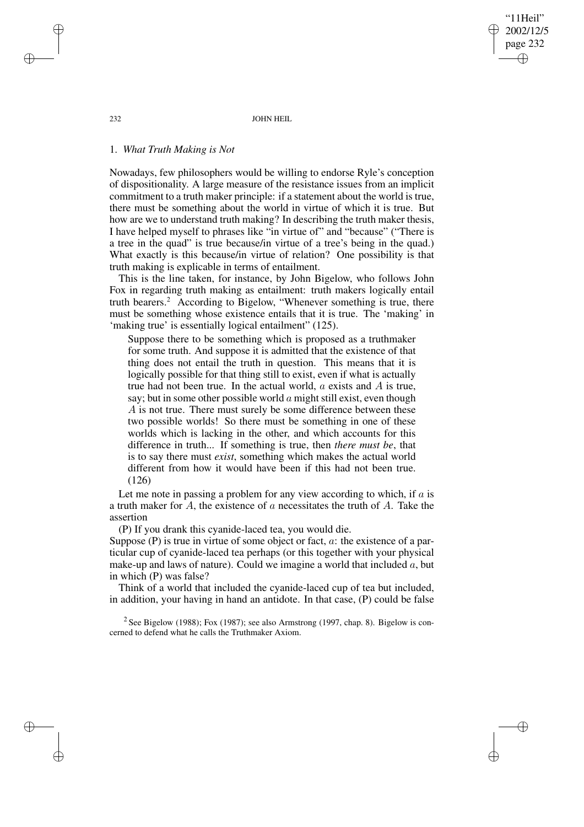232 JOHN HEIL

"11Heil" 2002/12/5 page 232

✐

✐

✐

✐

## 1. *What Truth Making is Not*

Nowadays, few philosophers would be willing to endorse Ryle's conception of dispositionality. A large measure of the resistance issues from an implicit commitment to a truth maker principle: if a statement about the world is true, there must be something about the world in virtue of which it is true. But how are we to understand truth making? In describing the truth maker thesis, I have helped myself to phrases like "in virtue of" and "because" ("There is a tree in the quad" is true because/in virtue of a tree's being in the quad.) What exactly is this because/in virtue of relation? One possibility is that truth making is explicable in terms of entailment.

This is the line taken, for instance, by John Bigelow, who follows John Fox in regarding truth making as entailment: truth makers logically entail truth bearers.<sup>2</sup> According to Bigelow, "Whenever something is true, there must be something whose existence entails that it is true. The 'making' in 'making true' is essentially logical entailment" (125).

Suppose there to be something which is proposed as a truthmaker for some truth. And suppose it is admitted that the existence of that thing does not entail the truth in question. This means that it is logically possible for that thing still to exist, even if what is actually true had not been true. In the actual world, a exists and A is true, say; but in some other possible world  $\alpha$  might still exist, even though A is not true. There must surely be some difference between these two possible worlds! So there must be something in one of these worlds which is lacking in the other, and which accounts for this difference in truth... If something is true, then *there must be*, that is to say there must *exist*, something which makes the actual world different from how it would have been if this had not been true. (126)

Let me note in passing a problem for any view according to which, if  $a$  is a truth maker for A, the existence of a necessitates the truth of A. Take the assertion

(P) If you drank this cyanide-laced tea, you would die.

Suppose  $(P)$  is true in virtue of some object or fact,  $a$ : the existence of a particular cup of cyanide-laced tea perhaps (or this together with your physical make-up and laws of nature). Could we imagine a world that included  $a$ , but in which (P) was false?

Think of a world that included the cyanide-laced cup of tea but included, in addition, your having in hand an antidote. In that case, (P) could be false

<sup>2</sup> See Bigelow (1988); Fox (1987); see also Armstrong (1997, chap. 8). Bigelow is concerned to defend what he calls the Truthmaker Axiom.

✐

✐

✐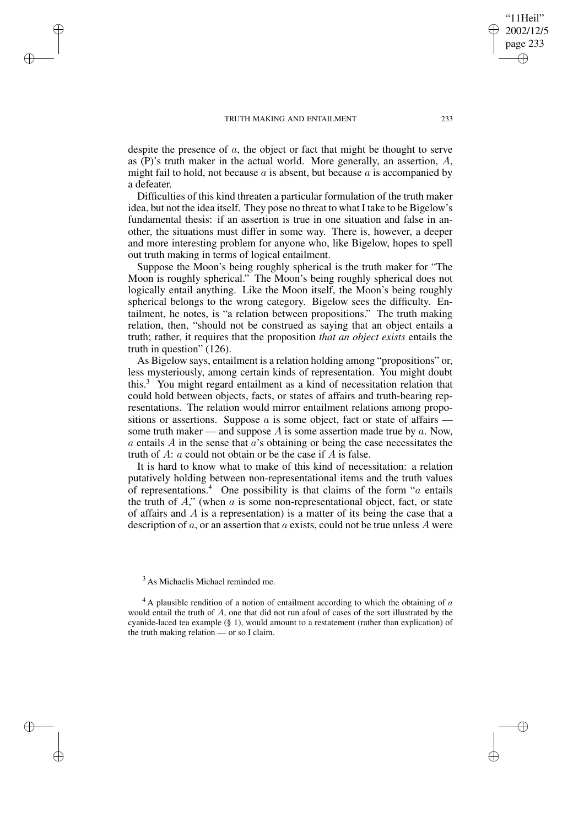✐

✐

✐

✐

despite the presence of a, the object or fact that might be thought to serve as  $(P)$ 's truth maker in the actual world. More generally, an assertion, A, might fail to hold, not because  $\alpha$  is absent, but because  $\alpha$  is accompanied by a defeater.

Difficulties of this kind threaten a particular formulation of the truth maker idea, but not the idea itself. They pose no threat to what I take to be Bigelow's fundamental thesis: if an assertion is true in one situation and false in another, the situations must differ in some way. There is, however, a deeper and more interesting problem for anyone who, like Bigelow, hopes to spell out truth making in terms of logical entailment.

Suppose the Moon's being roughly spherical is the truth maker for "The Moon is roughly spherical." The Moon's being roughly spherical does not logically entail anything. Like the Moon itself, the Moon's being roughly spherical belongs to the wrong category. Bigelow sees the difficulty. Entailment, he notes, is "a relation between propositions." The truth making relation, then, "should not be construed as saying that an object entails a truth; rather, it requires that the proposition *that an object exists* entails the truth in question" (126).

As Bigelow says, entailment is a relation holding among "propositions" or, less mysteriously, among certain kinds of representation. You might doubt this.<sup>3</sup> You might regard entailment as a kind of necessitation relation that could hold between objects, facts, or states of affairs and truth-bearing representations. The relation would mirror entailment relations among propositions or assertions. Suppose  $\alpha$  is some object, fact or state of affairs some truth maker — and suppose A is some assertion made true by a. Now,  $\alpha$  entails  $\ddot{A}$  in the sense that  $\alpha$ 's obtaining or being the case necessitates the truth of  $A: a$  could not obtain or be the case if  $A$  is false.

It is hard to know what to make of this kind of necessitation: a relation putatively holding between non-representational items and the truth values of representations.<sup>4</sup> One possibility is that claims of the form "a entails" the truth of  $A$ ," (when  $\alpha$  is some non-representational object, fact, or state of affairs and A is a representation) is a matter of its being the case that a description of  $a$ , or an assertion that  $a$  exists, could not be true unless  $A$  were

"11Heil" 2002/12/5 page 233

✐

✐

✐

<sup>&</sup>lt;sup>3</sup> As Michaelis Michael reminded me.

 $4A$  plausible rendition of a notion of entailment according to which the obtaining of  $\alpha$ would entail the truth of A, one that did not run afoul of cases of the sort illustrated by the cyanide-laced tea example (§ 1), would amount to a restatement (rather than explication) of the truth making relation — or so I claim.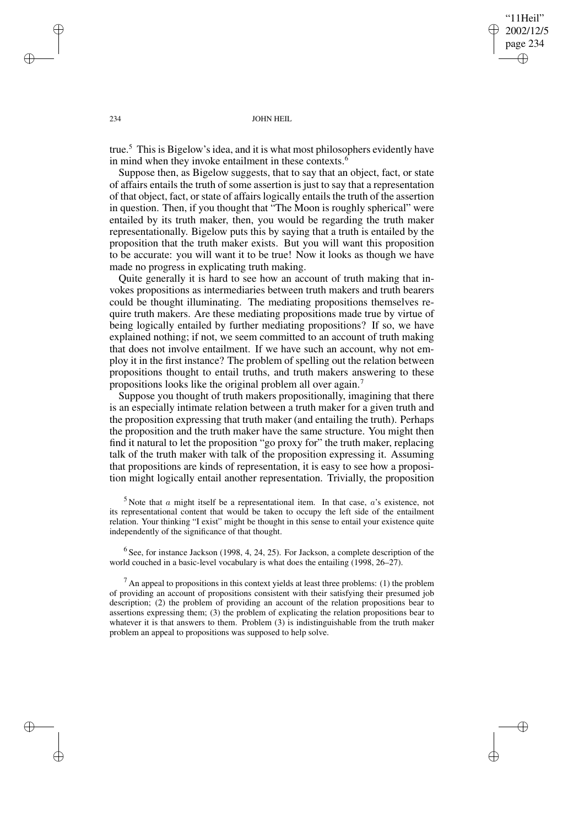"11Heil" 2002/12/5 page 234 ✐ ✐

✐

✐

#### 234 JOHN HEIL

true.<sup>5</sup> This is Bigelow's idea, and it is what most philosophers evidently have in mind when they invoke entailment in these contexts.<sup>6</sup>

Suppose then, as Bigelow suggests, that to say that an object, fact, or state of affairs entails the truth of some assertion is just to say that a representation of that object, fact, or state of affairs logically entails the truth of the assertion in question. Then, if you thought that "The Moon is roughly spherical" were entailed by its truth maker, then, you would be regarding the truth maker representationally. Bigelow puts this by saying that a truth is entailed by the proposition that the truth maker exists. But you will want this proposition to be accurate: you will want it to be true! Now it looks as though we have made no progress in explicating truth making.

Quite generally it is hard to see how an account of truth making that invokes propositions as intermediaries between truth makers and truth bearers could be thought illuminating. The mediating propositions themselves require truth makers. Are these mediating propositions made true by virtue of being logically entailed by further mediating propositions? If so, we have explained nothing; if not, we seem committed to an account of truth making that does not involve entailment. If we have such an account, why not employ it in the first instance? The problem of spelling out the relation between propositions thought to entail truths, and truth makers answering to these propositions looks like the original problem all over again.<sup>7</sup>

Suppose you thought of truth makers propositionally, imagining that there is an especially intimate relation between a truth maker for a given truth and the proposition expressing that truth maker (and entailing the truth). Perhaps the proposition and the truth maker have the same structure. You might then find it natural to let the proposition "go proxy for" the truth maker, replacing talk of the truth maker with talk of the proposition expressing it. Assuming that propositions are kinds of representation, it is easy to see how a proposition might logically entail another representation. Trivially, the proposition

<sup>5</sup> Note that a might itself be a representational item. In that case, a's existence, not its representational content that would be taken to occupy the left side of the entailment relation. Your thinking "I exist" might be thought in this sense to entail your existence quite independently of the significance of that thought.

 $6$  See, for instance Jackson (1998, 4, 24, 25). For Jackson, a complete description of the world couched in a basic-level vocabulary is what does the entailing  $(1998, 26-27)$ .

 $<sup>7</sup>$  An appeal to propositions in this context yields at least three problems: (1) the problem</sup> of providing an account of propositions consistent with their satisfying their presumed job description; (2) the problem of providing an account of the relation propositions bear to assertions expressing them; (3) the problem of explicating the relation propositions bear to whatever it is that answers to them. Problem (3) is indistinguishable from the truth maker problem an appeal to propositions was supposed to help solve.

✐

✐

✐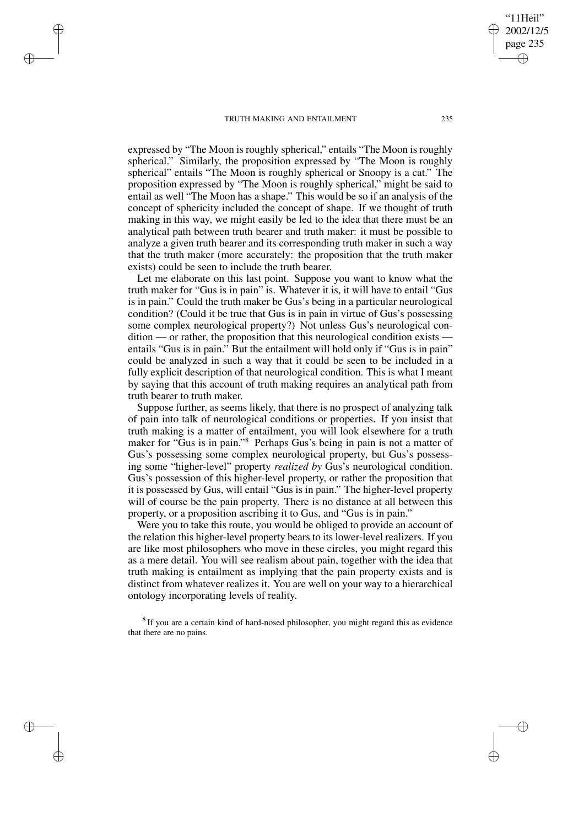✐

✐

✐

✐

expressed by "The Moon is roughly spherical," entails "The Moon is roughly spherical." Similarly, the proposition expressed by "The Moon is roughly spherical" entails "The Moon is roughly spherical or Snoopy is a cat." The proposition expressed by "The Moon is roughly spherical," might be said to entail as well "The Moon has a shape." This would be so if an analysis of the concept of sphericity included the concept of shape. If we thought of truth making in this way, we might easily be led to the idea that there must be an analytical path between truth bearer and truth maker: it must be possible to analyze a given truth bearer and its corresponding truth maker in such a way that the truth maker (more accurately: the proposition that the truth maker exists) could be seen to include the truth bearer.

Let me elaborate on this last point. Suppose you want to know what the truth maker for "Gus is in pain" is. Whatever it is, it will have to entail "Gus is in pain." Could the truth maker be Gus's being in a particular neurological condition? (Could it be true that Gus is in pain in virtue of Gus's possessing some complex neurological property?) Not unless Gus's neurological condition — or rather, the proposition that this neurological condition exists entails "Gus is in pain." But the entailment will hold only if "Gus is in pain" could be analyzed in such a way that it could be seen to be included in a fully explicit description of that neurological condition. This is what I meant by saying that this account of truth making requires an analytical path from truth bearer to truth maker.

Suppose further, as seems likely, that there is no prospect of analyzing talk of pain into talk of neurological conditions or properties. If you insist that truth making is a matter of entailment, you will look elsewhere for a truth maker for "Gus is in pain." <sup>8</sup> Perhaps Gus's being in pain is not a matter of Gus's possessing some complex neurological property, but Gus's possessing some "higher-level" property *realized by* Gus's neurological condition. Gus's possession of this higher-level property, or rather the proposition that it is possessed by Gus, will entail "Gus is in pain." The higher-level property will of course be the pain property. There is no distance at all between this property, or a proposition ascribing it to Gus, and "Gus is in pain."

Were you to take this route, you would be obliged to provide an account of the relation this higher-level property bears to its lower-level realizers. If you are like most philosophers who move in these circles, you might regard this as a mere detail. You will see realism about pain, together with the idea that truth making is entailment as implying that the pain property exists and is distinct from whatever realizes it. You are well on your way to a hierarchical ontology incorporating levels of reality.

 $8$  If you are a certain kind of hard-nosed philosopher, you might regard this as evidence that there are no pains.

"11Heil" 2002/12/5 page 235

✐

✐

✐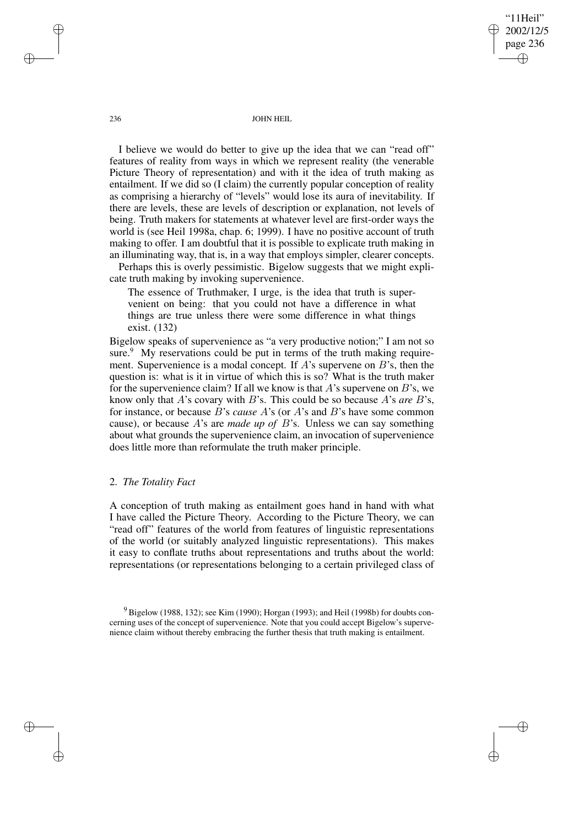"11Heil" 2002/12/5 page 236 ✐ ✐

✐

✐

236 JOHN HEIL

I believe we would do better to give up the idea that we can "read off" features of reality from ways in which we represent reality (the venerable Picture Theory of representation) and with it the idea of truth making as entailment. If we did so (I claim) the currently popular conception of reality as comprising a hierarchy of "levels" would lose its aura of inevitability. If there are levels, these are levels of description or explanation, not levels of being. Truth makers for statements at whatever level are first-order ways the world is (see Heil 1998a, chap. 6; 1999). I have no positive account of truth making to offer. I am doubtful that it is possible to explicate truth making in an illuminating way, that is, in a way that employs simpler, clearer concepts.

Perhaps this is overly pessimistic. Bigelow suggests that we might explicate truth making by invoking supervenience.

The essence of Truthmaker, I urge, is the idea that truth is supervenient on being: that you could not have a difference in what things are true unless there were some difference in what things exist. (132)

Bigelow speaks of supervenience as "a very productive notion;" I am not so sure. $9\text{ }$  My reservations could be put in terms of the truth making requirement. Supervenience is a modal concept. If A's supervene on B's, then the question is: what is it in virtue of which this is so? What is the truth maker for the supervenience claim? If all we know is that  $A$ 's supervene on  $B$ 's, we know only that A's covary with B's. This could be so because A's *are* B's, for instance, or because B's *cause* A's (or A's and B's have some common cause), or because A's are *made up of* B's. Unless we can say something about what grounds the supervenience claim, an invocation of supervenience does little more than reformulate the truth maker principle.

## 2. *The Totality Fact*

A conception of truth making as entailment goes hand in hand with what I have called the Picture Theory. According to the Picture Theory, we can "read off" features of the world from features of linguistic representations of the world (or suitably analyzed linguistic representations). This makes it easy to conflate truths about representations and truths about the world: representations (or representations belonging to a certain privileged class of

 $9$  Bigelow (1988, 132); see Kim (1990); Horgan (1993); and Heil (1998b) for doubts concerning uses of the concept of supervenience. Note that you could accept Bigelow's supervenience claim without thereby embracing the further thesis that truth making is entailment.

✐

✐

✐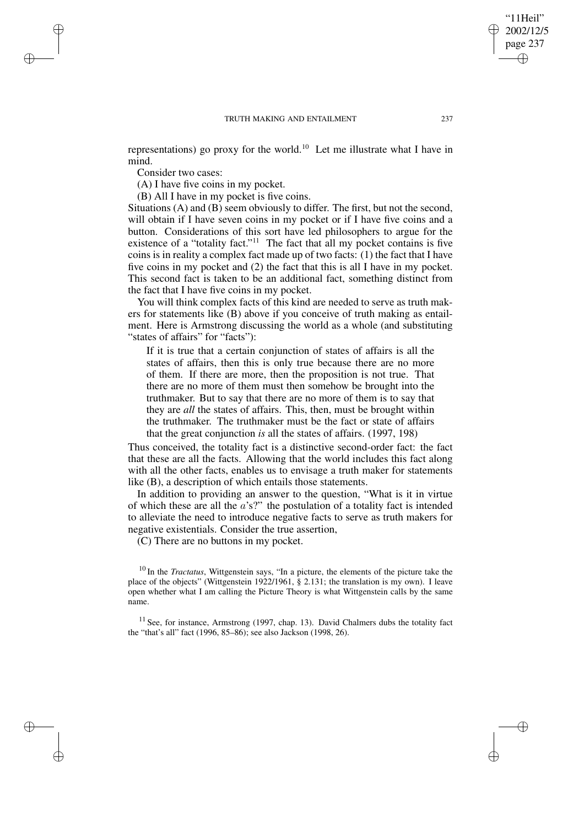representations) go proxy for the world.<sup>10</sup> Let me illustrate what I have in mind.

Consider two cases:

✐

✐

✐

✐

(A) I have five coins in my pocket.

(B) All I have in my pocket is five coins.

Situations (A) and (B) seem obviously to differ. The first, but not the second, will obtain if I have seven coins in my pocket or if I have five coins and a button. Considerations of this sort have led philosophers to argue for the existence of a "totality fact."<sup>11</sup> The fact that all my pocket contains is five coins is in reality a complex fact made up of two facts: (1) the fact that I have five coins in my pocket and (2) the fact that this is all I have in my pocket. This second fact is taken to be an additional fact, something distinct from the fact that I have five coins in my pocket.

You will think complex facts of this kind are needed to serve as truth makers for statements like (B) above if you conceive of truth making as entailment. Here is Armstrong discussing the world as a whole (and substituting "states of affairs" for "facts"):

If it is true that a certain conjunction of states of affairs is all the states of affairs, then this is only true because there are no more of them. If there are more, then the proposition is not true. That there are no more of them must then somehow be brought into the truthmaker. But to say that there are no more of them is to say that they are *all* the states of affairs. This, then, must be brought within the truthmaker. The truthmaker must be the fact or state of affairs that the great conjunction *is* all the states of affairs. (1997, 198)

Thus conceived, the totality fact is a distinctive second-order fact: the fact that these are all the facts. Allowing that the world includes this fact along with all the other facts, enables us to envisage a truth maker for statements like (B), a description of which entails those statements.

In addition to providing an answer to the question, "What is it in virtue of which these are all the  $a$ 's?" the postulation of a totality fact is intended to alleviate the need to introduce negative facts to serve as truth makers for negative existentials. Consider the true assertion,

(C) There are no buttons in my pocket.

"11Heil" 2002/12/5 page 237

✐

✐

✐

<sup>10</sup> In the *Tractatus*, Wittgenstein says, "In a picture, the elements of the picture take the place of the objects" (Wittgenstein 1922/1961, § 2.131; the translation is my own). I leave open whether what I am calling the Picture Theory is what Wittgenstein calls by the same name.

 $11$  See, for instance, Armstrong (1997, chap. 13). David Chalmers dubs the totality fact the "that's all" fact (1996, 85–86); see also Jackson (1998, 26).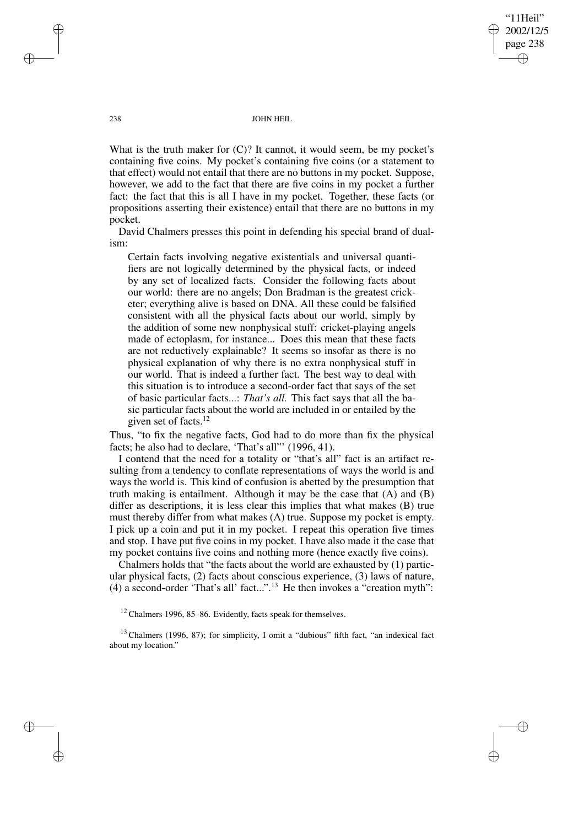"11Heil" 2002/12/5 page 238 ✐ ✐

✐

✐

238 JOHN HEIL

What is the truth maker for  $(C)$ ? It cannot, it would seem, be my pocket's containing five coins. My pocket's containing five coins (or a statement to that effect) would not entail that there are no buttons in my pocket. Suppose, however, we add to the fact that there are five coins in my pocket a further fact: the fact that this is all I have in my pocket. Together, these facts (or propositions asserting their existence) entail that there are no buttons in my pocket.

David Chalmers presses this point in defending his special brand of dualism:

Certain facts involving negative existentials and universal quantifiers are not logically determined by the physical facts, or indeed by any set of localized facts. Consider the following facts about our world: there are no angels; Don Bradman is the greatest cricketer; everything alive is based on DNA. All these could be falsified consistent with all the physical facts about our world, simply by the addition of some new nonphysical stuff: cricket-playing angels made of ectoplasm, for instance... Does this mean that these facts are not reductively explainable? It seems so insofar as there is no physical explanation of why there is no extra nonphysical stuff in our world. That is indeed a further fact. The best way to deal with this situation is to introduce a second-order fact that says of the set of basic particular facts...: *That's all.* This fact says that all the basic particular facts about the world are included in or entailed by the given set of facts.<sup>12</sup>

Thus, "to fix the negative facts, God had to do more than fix the physical facts; he also had to declare, 'That's all"' (1996, 41).

I contend that the need for a totality or "that's all" fact is an artifact resulting from a tendency to conflate representations of ways the world is and ways the world is. This kind of confusion is abetted by the presumption that truth making is entailment. Although it may be the case that (A) and (B) differ as descriptions, it is less clear this implies that what makes (B) true must thereby differ from what makes (A) true. Suppose my pocket is empty. I pick up a coin and put it in my pocket. I repeat this operation five times and stop. I have put five coins in my pocket. I have also made it the case that my pocket contains five coins and nothing more (hence exactly five coins).

Chalmers holds that "the facts about the world are exhausted by (1) particular physical facts, (2) facts about conscious experience, (3) laws of nature, (4) a second-order 'That's all' fact...".<sup>13</sup> He then invokes a "creation myth":

<sup>12</sup> Chalmers 1996, 85–86. Evidently, facts speak for themselves.

<sup>13</sup> Chalmers (1996, 87); for simplicity, I omit a "dubious" fifth fact, "an indexical fact about my location."

✐

✐

✐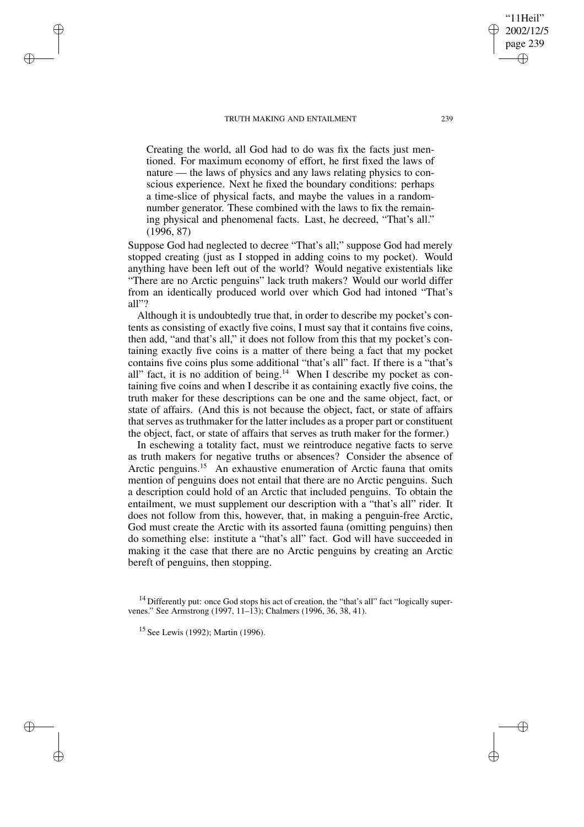✐

✐

✐

✐

Creating the world, all God had to do was fix the facts just mentioned. For maximum economy of effort, he first fixed the laws of nature — the laws of physics and any laws relating physics to conscious experience. Next he fixed the boundary conditions: perhaps a time-slice of physical facts, and maybe the values in a randomnumber generator. These combined with the laws to fix the remaining physical and phenomenal facts. Last, he decreed, "That's all." (1996, 87)

Suppose God had neglected to decree "That's all;" suppose God had merely stopped creating (just as I stopped in adding coins to my pocket). Would anything have been left out of the world? Would negative existentials like "There are no Arctic penguins" lack truth makers? Would our world differ from an identically produced world over which God had intoned "That's all"?

Although it is undoubtedly true that, in order to describe my pocket's contents as consisting of exactly five coins, I must say that it contains five coins, then add, "and that's all," it does not follow from this that my pocket's containing exactly five coins is a matter of there being a fact that my pocket contains five coins plus some additional "that's all" fact. If there is a "that's all" fact, it is no addition of being.<sup>14</sup> When I describe my pocket as containing five coins and when I describe it as containing exactly five coins, the truth maker for these descriptions can be one and the same object, fact, or state of affairs. (And this is not because the object, fact, or state of affairs that serves as truthmaker for the latter includes as a proper part or constituent the object, fact, or state of affairs that serves as truth maker for the former.)

In eschewing a totality fact, must we reintroduce negative facts to serve as truth makers for negative truths or absences? Consider the absence of Arctic penguins.<sup>15</sup> An exhaustive enumeration of Arctic fauna that omits mention of penguins does not entail that there are no Arctic penguins. Such a description could hold of an Arctic that included penguins. To obtain the entailment, we must supplement our description with a "that's all" rider. It does not follow from this, however, that, in making a penguin-free Arctic, God must create the Arctic with its assorted fauna (omitting penguins) then do something else: institute a "that's all" fact. God will have succeeded in making it the case that there are no Arctic penguins by creating an Arctic bereft of penguins, then stopping.

"11Heil" 2002/12/5 page 239

✐

✐

✐

 $<sup>14</sup>$  Differently put: once God stops his act of creation, the "that's all" fact "logically super-</sup> venes." See Armstrong (1997, 11–13); Chalmers (1996, 36, 38, 41).

<sup>15</sup> See Lewis (1992); Martin (1996).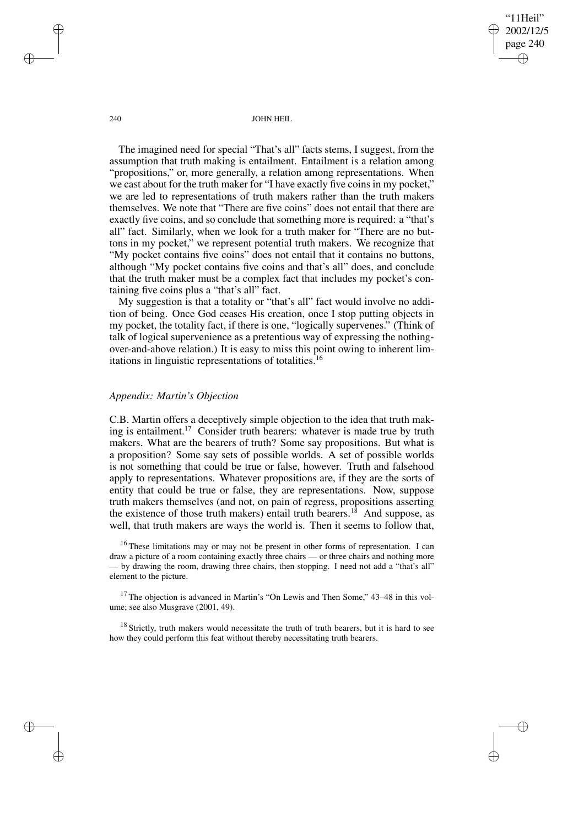"11Heil" 2002/12/5 page 240 ✐ ✐

✐

✐

240 JOHN HEIL

The imagined need for special "That's all" facts stems, I suggest, from the assumption that truth making is entailment. Entailment is a relation among "propositions," or, more generally, a relation among representations. When we cast about for the truth maker for "I have exactly five coins in my pocket," we are led to representations of truth makers rather than the truth makers themselves. We note that "There are five coins" does not entail that there are exactly five coins, and so conclude that something more is required: a "that's all" fact. Similarly, when we look for a truth maker for "There are no buttons in my pocket," we represent potential truth makers. We recognize that "My pocket contains five coins" does not entail that it contains no buttons, although "My pocket contains five coins and that's all" does, and conclude that the truth maker must be a complex fact that includes my pocket's containing five coins plus a "that's all" fact.

My suggestion is that a totality or "that's all" fact would involve no addition of being. Once God ceases His creation, once I stop putting objects in my pocket, the totality fact, if there is one, "logically supervenes." (Think of talk of logical supervenience as a pretentious way of expressing the nothingover-and-above relation.) It is easy to miss this point owing to inherent limitations in linguistic representations of totalities.<sup>16</sup>

## *Appendix: Martin's Objection*

C.B. Martin offers a deceptively simple objection to the idea that truth making is entailment.<sup>17</sup> Consider truth bearers: whatever is made true by truth makers. What are the bearers of truth? Some say propositions. But what is a proposition? Some say sets of possible worlds. A set of possible worlds is not something that could be true or false, however. Truth and falsehood apply to representations. Whatever propositions are, if they are the sorts of entity that could be true or false, they are representations. Now, suppose truth makers themselves (and not, on pain of regress, propositions asserting the existence of those truth makers) entail truth bearers.<sup>18</sup> And suppose, as well, that truth makers are ways the world is. Then it seems to follow that,

<sup>16</sup> These limitations may or may not be present in other forms of representation. I can draw a picture of a room containing exactly three chairs — or three chairs and nothing more — by drawing the room, drawing three chairs, then stopping. I need not add a "that's all" element to the picture.

 $17$  The objection is advanced in Martin's "On Lewis and Then Some," 43–48 in this volume; see also Musgrave (2001, 49).

 $18$  Strictly, truth makers would necessitate the truth of truth bearers, but it is hard to see how they could perform this feat without thereby necessitating truth bearers.

✐

✐

✐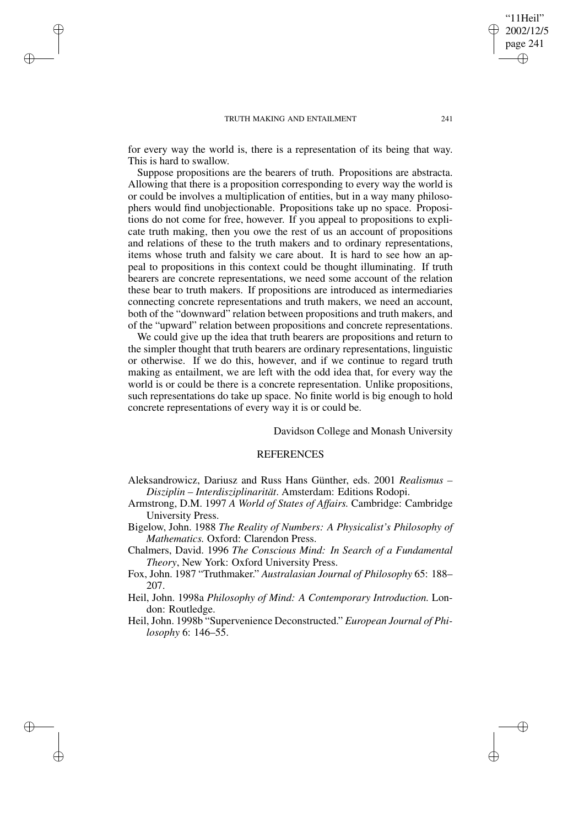✐

✐

✐

✐

for every way the world is, there is a representation of its being that way. This is hard to swallow.

Suppose propositions are the bearers of truth. Propositions are abstracta. Allowing that there is a proposition corresponding to every way the world is or could be involves a multiplication of entities, but in a way many philosophers would find unobjectionable. Propositions take up no space. Propositions do not come for free, however. If you appeal to propositions to explicate truth making, then you owe the rest of us an account of propositions and relations of these to the truth makers and to ordinary representations, items whose truth and falsity we care about. It is hard to see how an appeal to propositions in this context could be thought illuminating. If truth bearers are concrete representations, we need some account of the relation these bear to truth makers. If propositions are introduced as intermediaries connecting concrete representations and truth makers, we need an account, both of the "downward" relation between propositions and truth makers, and of the "upward" relation between propositions and concrete representations.

We could give up the idea that truth bearers are propositions and return to the simpler thought that truth bearers are ordinary representations, linguistic or otherwise. If we do this, however, and if we continue to regard truth making as entailment, we are left with the odd idea that, for every way the world is or could be there is a concrete representation. Unlike propositions, such representations do take up space. No finite world is big enough to hold concrete representations of every way it is or could be.

Davidson College and Monash University

## REFERENCES

- Aleksandrowicz, Dariusz and Russ Hans Günther, eds. 2001 *Realismus – Disziplin – Interdisziplinarität*. Amsterdam: Editions Rodopi.
- Armstrong, D.M. 1997 *A World of States of Affairs.* Cambridge: Cambridge University Press.
- Bigelow, John. 1988 *The Reality of Numbers: A Physicalist's Philosophy of Mathematics.* Oxford: Clarendon Press.
- Chalmers, David. 1996 *The Conscious Mind: In Search of a Fundamental Theory*, New York: Oxford University Press.
- Fox, John. 1987 "Truthmaker." *Australasian Journal of Philosophy* 65: 188– 207.
- Heil, John. 1998a *Philosophy of Mind: A Contemporary Introduction.* London: Routledge.
- Heil, John. 1998b "Supervenience Deconstructed." *European Journal of Philosophy* 6: 146–55.

"11Heil" 2002/12/5 page 241

✐

✐

✐